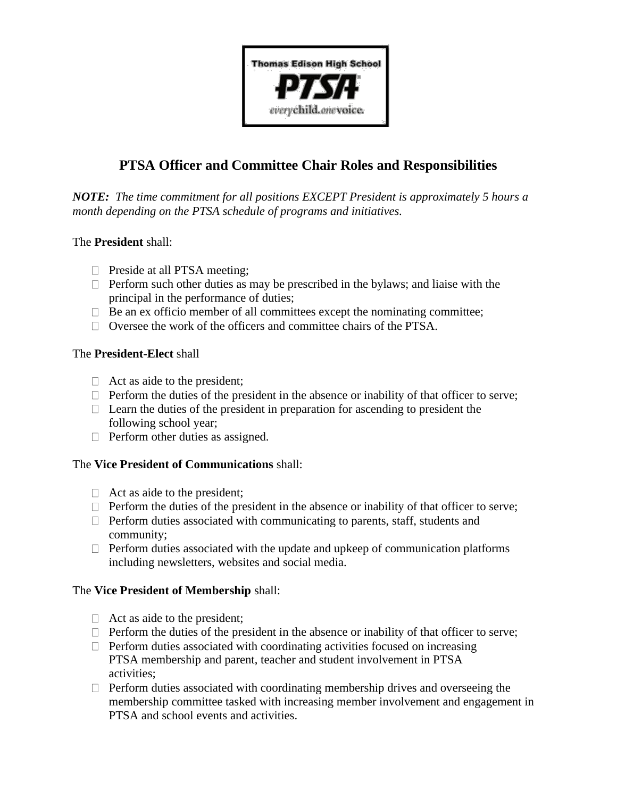

# **PTSA Officer and Committee Chair Roles and Responsibilities**

*NOTE: The time commitment for all positions EXCEPT President is approximately 5 hours a month depending on the PTSA schedule of programs and initiatives.*

# The **President** shall:

- **Preside at all PTSA meeting;**
- $\Box$  Perform such other duties as may be prescribed in the bylaws; and liaise with the principal in the performance of duties;
- $\Box$  Be an ex officio member of all committees except the nominating committee;
- $\Box$  Oversee the work of the officers and committee chairs of the PTSA.

# The **President-Elect** shall

- $\Box$  Act as aide to the president;
- $\Box$  Perform the duties of the president in the absence or inability of that officer to serve;
- $\Box$  Learn the duties of the president in preparation for ascending to president the following school year;
- $\Box$  Perform other duties as assigned.

# The **Vice President of Communications** shall:

- $\Box$  Act as aide to the president;
- $\Box$  Perform the duties of the president in the absence or inability of that officer to serve;
- $\Box$  Perform duties associated with communicating to parents, staff, students and community;
- $\Box$  Perform duties associated with the update and upkeep of communication platforms including newsletters, websites and social media.

# The **Vice President of Membership** shall:

- $\Box$  Act as aide to the president;
- $\Box$  Perform the duties of the president in the absence or inability of that officer to serve;
- $\Box$  Perform duties associated with coordinating activities focused on increasing PTSA membership and parent, teacher and student involvement in PTSA activities;
- $\Box$  Perform duties associated with coordinating membership drives and overseeing the membership committee tasked with increasing member involvement and engagement in PTSA and school events and activities.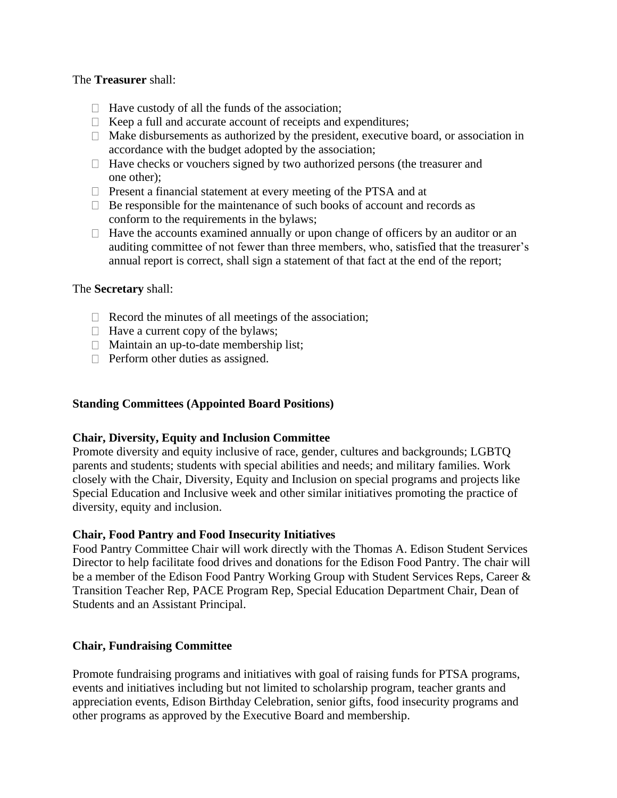#### The **Treasurer** shall:

- $\Box$  Have custody of all the funds of the association;
- $\Box$  Keep a full and accurate account of receipts and expenditures;
- $\Box$  Make disbursements as authorized by the president, executive board, or association in accordance with the budget adopted by the association;
- $\Box$  Have checks or vouchers signed by two authorized persons (the treasurer and one other);
- $\Box$  Present a financial statement at every meeting of the PTSA and at
- $\Box$  Be responsible for the maintenance of such books of account and records as conform to the requirements in the bylaws;
- $\Box$  Have the accounts examined annually or upon change of officers by an auditor or an auditing committee of not fewer than three members, who, satisfied that the treasurer's annual report is correct, shall sign a statement of that fact at the end of the report;

#### The **Secretary** shall:

- $\Box$  Record the minutes of all meetings of the association;
- $\Box$  Have a current copy of the bylaws;
- $\Box$  Maintain an up-to-date membership list;
- $\Box$  Perform other duties as assigned.

# **Standing Committees (Appointed Board Positions)**

#### **Chair, Diversity, Equity and Inclusion Committee**

Promote diversity and equity inclusive of race, gender, cultures and backgrounds; LGBTQ parents and students; students with special abilities and needs; and military families. Work closely with the Chair, Diversity, Equity and Inclusion on special programs and projects like Special Education and Inclusive week and other similar initiatives promoting the practice of diversity, equity and inclusion.

#### **Chair, Food Pantry and Food Insecurity Initiatives**

Food Pantry Committee Chair will work directly with the Thomas A. Edison Student Services Director to help facilitate food drives and donations for the Edison Food Pantry. The chair will be a member of the Edison Food Pantry Working Group with Student Services Reps, Career & Transition Teacher Rep, PACE Program Rep, Special Education Department Chair, Dean of Students and an Assistant Principal.

# **Chair, Fundraising Committee**

Promote fundraising programs and initiatives with goal of raising funds for PTSA programs, events and initiatives including but not limited to scholarship program, teacher grants and appreciation events, Edison Birthday Celebration, senior gifts, food insecurity programs and other programs as approved by the Executive Board and membership.